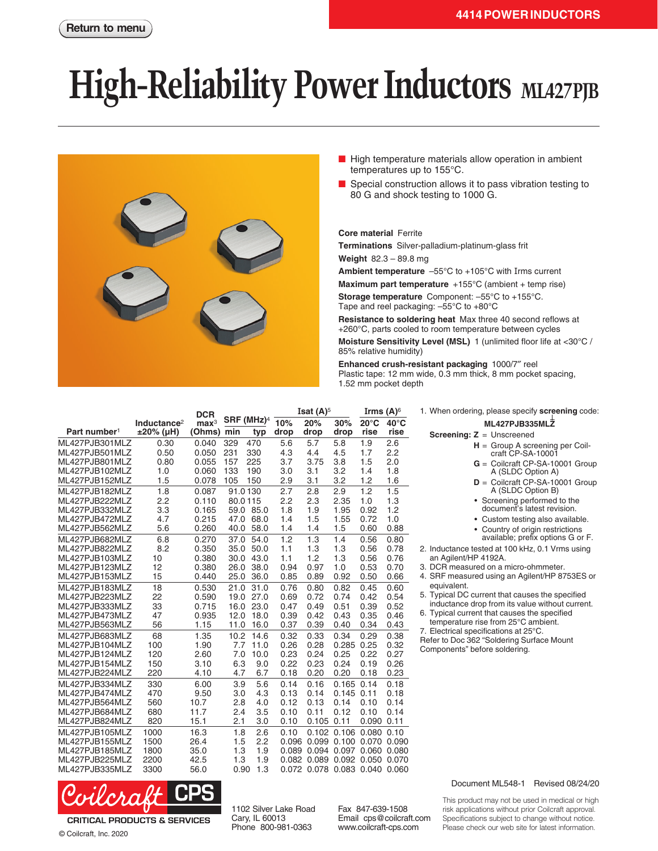# **High-Reliability Power Inductors** ML427PJB



- High temperature materials allow operation in ambient temperatures up to 155°C.
- Special construction allows it to pass vibration testing to 80 G and shock testing to 1000 G.

### **Core material** Ferrite

**Terminations** Silver-palladium-platinum-glass frit

**Weight** 82.3 – 89.8 mg

**Ambient temperature** –55°C to +105°C with Irms current

**Maximum part temperature** +155°C (ambient + temp rise)

**Storage temperature** Component: –55°C to +155°C. Tape and reel packaging: –55°C to +80°C

**Resistance to soldering heat** Max three 40 second reflows at +260°C, parts cooled to room temperature between cycles

**Moisture Sensitivity Level (MSL)** 1 (unlimited floor life at <30°C / 85% relative humidity)

**Screening: Z** = Unscreened

an Agilent/HP 4192A.

Components" before soldering.

equivalent.

1. When ordering, please specify **screening** code: **ML427PJB335MLZ**

2. Inductance tested at 100 kHz, 0.1 Vrms using

5. Typical DC current that causes the specified inductance drop from its value without current. 6. Typical current that causes the specified temperature rise from 25°C ambient. 7. Electrical specifications at 25°C. Refer to Doc 362 "Soldering Surface Mount

3. DCR measured on a micro-ohmmeter. 4. SRF measured using an Agilent/HP 8753ES or

**<sup>H</sup>** <sup>=</sup> Group A screening per Coil- craft CP-SA-10001 **G** = Coilcraft CP-SA-10001 Group A (SLDC Option A) **D** = Coilcraft CP-SA-10001 Group A (SLDC Option B) • Screening performed to the document's latest revision. • Custom testing also available. • Country of origin restrictions available; prefix options G or F.

**Enhanced crush-resistant packaging** 1000/7″ reel Plastic tape: 12 mm wide, 0.3 mm thick, 8 mm pocket spacing, 1.52 mm pocket depth

|                          |                         | <b>DCR</b>       |                        |      |       | <b>Isat <math>(A)^5</math></b> |       |                | Irms $(A)$ <sup>6</sup> |  |
|--------------------------|-------------------------|------------------|------------------------|------|-------|--------------------------------|-------|----------------|-------------------------|--|
|                          | Inductance <sup>2</sup> | $\mathbf{max}^3$ | SRF (MHz) <sup>4</sup> |      | 10%   | 20%                            | 30%   | $20^{\circ}$ C | $40^{\circ}$ C          |  |
| Part number <sup>1</sup> | $±20\%$ (µH)            | (Ohms)           | min                    | typ  | drop  | drop                           | drop  | rise           | rise                    |  |
| ML427PJB301MLZ           | 0.30                    | 0.040            | 329                    | 470  | 5.6   | 5.7                            | 5.8   | 1.9            | 2.6                     |  |
| ML427PJB501MLZ           | 0.50                    | 0.050            | 231                    | 330  | 4.3   | 4.4                            | 4.5   | 1.7            | 2.2                     |  |
| ML427PJB801MLZ           | 0.80                    | 0.055            | 157                    | 225  | 3.7   | 3.75                           | 3.8   | 1.5            | 2.0                     |  |
| ML427PJB102MLZ           | 1.0                     | 0.060            | 133                    | 190  | 3.0   | 3.1                            | 3.2   | 1.4            | 1.8                     |  |
| ML427PJB152MLZ           | 1.5                     | 0.078            | 105                    | 150  | 2.9   | 3.1                            | 3.2   | 1.2            | 1.6                     |  |
| ML427PJB182MLZ           | 1.8                     | 0.087            | 91.0130                |      | 2.7   | 2.8                            | 2.9   | 1.2            | 1.5                     |  |
| ML427PJB222MLZ           | 2.2                     | 0.110            | 80.0115                |      | 2.2   | 2.3                            | 2.35  | 1.0            | 1.3                     |  |
| ML427PJB332MLZ           | 3.3                     | 0.165            | 59.0                   | 85.0 | 1.8   | 1.9                            | 1.95  | 0.92           | 1.2                     |  |
| ML427PJB472MLZ           | 4.7                     | 0.215            | 47.0                   | 68.0 | 1.4   | 1.5                            | 1.55  | 0.72           | 1.0                     |  |
| ML427PJB562MLZ           | 5.6                     | 0.260            | 40.0                   | 58.0 | 1.4   | 1.4                            | 1.5   | 0.60           | 0.88                    |  |
| ML427PJB682MLZ           | 6.8                     | 0.270            | 37.0                   | 54.0 | 1.2   | 1.3                            | 1.4   | 0.56           | 0.80                    |  |
| ML427PJB822MLZ           | 8.2                     | 0.350            | 35.0                   | 50.0 | 1.1   | 1.3                            | 1.3   | 0.56           | 0.78                    |  |
| ML427PJB103MLZ           | 10                      | 0.380            | 30.0                   | 43.0 | 1.1   | 1.2                            | 1.3   | 0.56           | 0.76                    |  |
| ML427PJB123MLZ           | 12                      | 0.380            | 26.0                   | 38.0 | 0.94  | 0.97                           | 1.0   | 0.53           | 0.70                    |  |
| ML427PJB153MLZ           | 15                      | 0.440            | 25.0                   | 36.0 | 0.85  | 0.89                           | 0.92  | 0.50           | 0.66                    |  |
| ML427PJB183MLZ           | 18                      | 0.530            | 21.0                   | 31.0 | 0.76  | 0.80                           | 0.82  | 0.45           | 0.60                    |  |
| ML427PJB223MLZ           | 22                      | 0.590            | 19.0                   | 27.0 | 0.69  | 0.72                           | 0.74  | 0.42           | 0.54                    |  |
| ML427PJB333MLZ           | 33                      | 0.715            | 16.0                   | 23.0 | 0.47  | 0.49                           | 0.51  | 0.39           | 0.52                    |  |
| ML427PJB473MLZ           | 47                      | 0.935            | 12.0                   | 18.0 | 0.39  | 0.42                           | 0.43  | 0.35           | 0.46                    |  |
| ML427PJB563MLZ           | 56                      | 1.15             | 11.0                   | 16.0 | 0.37  | 0.39                           | 0.40  | 0.34           | 0.43                    |  |
| ML427PJB683MLZ           | 68                      | 1.35             | 10.2                   | 14.6 | 0.32  | 0.33                           | 0.34  | 0.29           | 0.38                    |  |
| ML427PJB104MLZ           | 100                     | 1.90             | 7.7                    | 11.0 | 0.26  | 0.28                           | 0.285 | 0.25           | 0.32                    |  |
| ML427PJB124MLZ           | 120                     | 2.60             | 7.0                    | 10.0 | 0.23  | 0.24                           | 0.25  | 0.22           | 0.27                    |  |
| ML427PJB154MLZ           | 150                     | 3.10             | 6.3                    | 9.0  | 0.22  | 0.23                           | 0.24  | 0.19           | 0.26                    |  |
| ML427PJB224MLZ           | 220                     | 4.10             | 4.7                    | 6.7  | 0.18  | 0.20                           | 0.20  | 0.18           | 0.23                    |  |
| ML427PJB334MLZ           | 330                     | 6.00             | 3.9                    | 5.6  | 0.14  | 0.16                           | 0.165 | 0.14           | 0.18                    |  |
| ML427PJB474MLZ           | 470                     | 9.50             | 3.0                    | 4.3  | 0.13  | 0.14                           | 0.145 | 0.11           | 0.18                    |  |
| ML427PJB564MLZ           | 560                     | 10.7             | 2.8                    | 4.0  | 0.12  | 0.13                           | 0.14  | 0.10           | 0.14                    |  |
| ML427PJB684MLZ           | 680                     | 11.7             | 2.4                    | 3.5  | 0.10  | 0.11                           | 0.12  | 0.10           | 0.14                    |  |
| ML427PJB824MLZ           | 820                     | 15.1             | 2.1                    | 3.0  | 0.10  | 0.105                          | 0.11  | 0.090          | 0.11                    |  |
| ML427PJB105MLZ           | 1000                    | 16.3             | 1.8                    | 2.6  | 0.10  | 0.102                          | 0.106 | 0.080          | 0.10                    |  |
| ML427PJB155MLZ           | 1500                    | 26.4             | 1.5                    | 2.2  | 0.096 | 0.099                          | 0.100 | 0.070          | 0.090                   |  |
| ML427PJB185MLZ           | 1800                    | 35.0             | 1.3                    | 1.9  | 0.089 | 0.094                          | 0.097 | 0.060          | 0.080                   |  |
| ML427PJB225MLZ           | 2200                    | 42.5             | 1.3                    | 1.9  | 0.082 | 0.089                          | 0.092 | 0.050          | 0.070                   |  |
| ML427PJB335MLZ           | 3300                    | 56.0             | 0.90                   | 1.3  |       | 0.072 0.078 0.083 0.040        |       |                | 0.060                   |  |



**CRITICAL PRODUCTS & SERVICES** © Coilcraft, Inc. 2020

1102 Silver Lake Road Cary, IL 60013 Phone 800-981-0363

Fax 847-639-1508 Email cps@coilcraft.com www.coilcraft-cps.com

#### Document ML548-1 Revised 08/24/20

This product may not be used in medical or high risk applications without prior Coilcraft approval. Specifications subject to change without notice. Please check our web site for latest information.